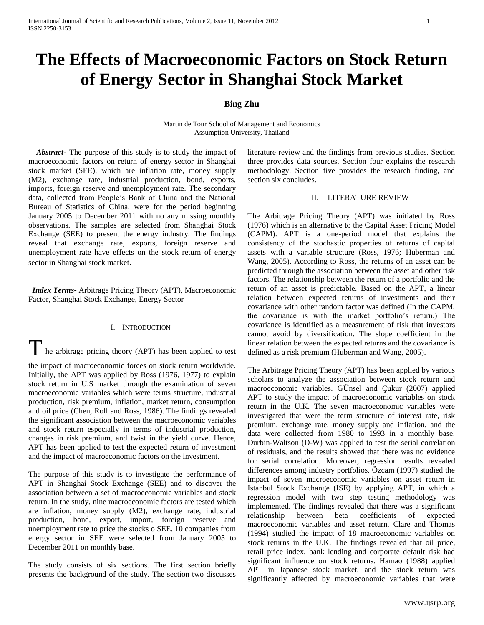# **The Effects of Macroeconomic Factors on Stock Return of Energy Sector in Shanghai Stock Market**

# **Bing Zhu**

Martin de Tour School of Management and Economics Assumption University, Thailand

 *Abstract***-** The purpose of this study is to study the impact of macroeconomic factors on return of energy sector in Shanghai stock market (SEE), which are inflation rate, money supply (M2), exchange rate, industrial production, bond, exports, imports, foreign reserve and unemployment rate. The secondary data, collected from People's Bank of China and the National Bureau of Statistics of China, were for the period beginning January 2005 to December 2011 with no any missing monthly observations. The samples are selected from Shanghai Stock Exchange (SEE) to present the energy industry. The findings reveal that exchange rate, exports, foreign reserve and unemployment rate have effects on the stock return of energy sector in Shanghai stock market.

 *Index Terms*- Arbitrage Pricing Theory (APT), Macroeconomic Factor, Shanghai Stock Exchange, Energy Sector

### I. INTRODUCTION

The arbitrage pricing theory (APT) has been applied to test

the impact of macroeconomic forces on stock return worldwide. Initially, the APT was applied by Ross (1976, 1977) to explain stock return in U.S market through the examination of seven macroeconomic variables which were terms structure, industrial production, risk premium, inflation, market return, consumption and oil price (Chen, Roll and Ross, 1986). The findings revealed the significant association between the macroeconomic variables and stock return especially in terms of industrial production, changes in risk premium, and twist in the yield curve. Hence, APT has been applied to test the expected return of investment and the impact of macroeconomic factors on the investment.

The purpose of this study is to investigate the performance of APT in Shanghai Stock Exchange (SEE) and to discover the association between a set of macroeconomic variables and stock return. In the study, nine macroeconomic factors are tested which are inflation, money supply (M2), exchange rate, industrial production, bond, export, import, foreign reserve and unemployment rate to price the stocks o SEE. 10 companies from energy sector in SEE were selected from January 2005 to December 2011 on monthly base.

The study consists of six sections. The first section briefly presents the background of the study. The section two discusses literature review and the findings from previous studies. Section three provides data sources. Section four explains the research methodology. Section five provides the research finding, and section six concludes.

#### II. LITERATURE REVIEW

The Arbitrage Pricing Theory (APT) was initiated by Ross (1976) which is an alternative to the Capital Asset Pricing Model (CAPM). APT is a one-period model that explains the consistency of the stochastic properties of returns of capital assets with a variable structure (Ross, 1976; Huberman and Wang, 2005). According to Ross, the returns of an asset can be predicted through the association between the asset and other risk factors. The relationship between the return of a portfolio and the return of an asset is predictable. Based on the APT, a linear relation between expected returns of investments and their covariance with other random factor was defined (In the CAPM, the covariance is with the market portfolio's return.) The covariance is identified as a measurement of risk that investors cannot avoid by diversification. The slope coefficient in the linear relation between the expected returns and the covariance is defined as a risk premium (Huberman and Wang, 2005).

The Arbitrage Pricing Theory (APT) has been applied by various scholars to analyze the association between stock return and macroeconomic variables. G**Ü**nsel and Çukur (2007) applied APT to study the impact of macroeconomic variables on stock return in the U.K. The seven macroeconomic variables were investigated that were the term structure of interest rate, risk premium, exchange rate, money supply and inflation, and the data were collected from 1980 to 1993 in a monthly base. Durbin-Waltson (D-W) was applied to test the serial correlation of residuals, and the results showed that there was no evidence for serial correlation. Moreover, regression results revealed differences among industry portfolios. Özcam (1997) studied the impact of seven macroeconomic variables on asset return in Istanbul Stock Exchange (ISE) by applying APT, in which a regression model with two step testing methodology was implemented. The findings revealed that there was a significant relationship between beta coefficients of expected macroeconomic variables and asset return. Clare and Thomas (1994) studied the impact of 18 macroeconomic variables on stock returns in the U.K. The findings revealed that oil price, retail price index, bank lending and corporate default risk had significant influence on stock returns. Hamao (1988) applied APT in Japanese stock market, and the stock return was significantly affected by macroeconomic variables that were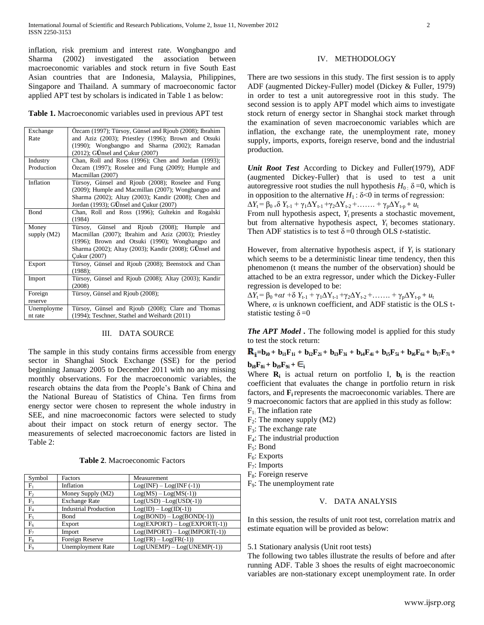inflation, risk premium and interest rate. Wongbangpo and Sharma (2002) investigated the association between macroeconomic variables and stock return in five South East Asian countries that are Indonesia, Malaysia, Philippines, Singapore and Thailand. A summary of macroeconomic factor applied APT test by scholars is indicated in Table 1 as below:

**Table 1.** Macroeconomic variables used in previous APT test

| Exchange      | Özcam (1997); Türsoy, Günsel and Rjoub (2008); Ibrahim |
|---------------|--------------------------------------------------------|
|               |                                                        |
| Rate          | and Aziz (2003); Priestley (1996); Brown and Otsuki    |
|               | (1990); Wongbangpo and Sharma (2002); Ramadan          |
|               | $(2012)$ ; GÜnsel and Cukur $(2007)$                   |
| Industry      | Chan, Roll and Ross (1996); Chen and Jordan (1993);    |
| Production    | Özcam (1997); Roselee and Fung (2009); Humple and      |
|               | Macmillan (2007)                                       |
| Inflation     | Türsoy, Günsel and Rjoub (2008); Roselee and Fung      |
|               | (2009); Humple and Macmillan (2007); Wongbangpo and    |
|               | Sharma (2002); Altay (2003); Kandir (2008); Chen and   |
|               | Jordan (1993); GÜnsel and Çukur (2007)                 |
| Bond          | Chan, Roll and Ross (1996); Gultekin and Rogalski      |
|               | (1984)                                                 |
| Money         | Türsoy, Günsel and Rjoub (2008); Humple<br>and         |
| supply $(M2)$ | Macmillan (2007); Ibrahim and Aziz (2003); Priestley   |
|               | (1996); Brown and Otsuki (1990); Wongbangpo and        |
|               | Sharma (2002); Altay (2003); Kandir (2008); GÜnsel and |
|               | Cukur (2007)                                           |
| Export        | Türsoy, Günsel and Rjoub (2008); Beenstock and Chan    |
|               | (1988);                                                |
| Import        | Türsoy, Günsel and Rjoub (2008); Altay (2003); Kandir  |
|               | (2008)                                                 |
| Foreign       | Türsoy, Günsel and Rjoub (2008);                       |
| reserve       |                                                        |
| Unemployme    | Türsoy, Günsel and Rjoub (2008); Clare and Thomas      |
| nt rate       | (1994); Teschner, Stathel and Weihardt (2011)          |

## III. DATA SOURCE

The sample in this study contains firms accessible from energy sector in Shanghai Stock Exchange (SSE) for the period beginning January 2005 to December 2011 with no any missing monthly observations. For the macroeconomic variables, the research obtains the data from the People's Bank of China and the National Bureau of Statistics of China. Ten firms from energy sector were chosen to represent the whole industry in SEE, and nine macroeconomic factors were selected to study about their impact on stock return of energy sector. The measurements of selected macroeconomic factors are listed in Table 2:

**Table 2**. Macroeconomic Factors

| Symbol         | Factors                      | Measurement                     |
|----------------|------------------------------|---------------------------------|
| $F_1$          | Inflation                    | $Log(INF) - Log(INF (-1))$      |
| F <sub>2</sub> | Money Supply (M2)            | $Log(MS) - Log(MS(-1))$         |
| $F_3$          | <b>Exchange Rate</b>         | $Log(USD) - Log(USD(-1))$       |
| $F_4$          | <b>Industrial Production</b> | $Log(ID) - Log(ID(-1))$         |
| $F_5$          | Bond                         | $Log(BOND) - Log(BOND(-1))$     |
| $F_6$          | Export                       | $Log(EXPORT) - Log(EXPORT(-1))$ |
| F <sub>7</sub> | Import                       | $Log(MPORT) - Log(MPORT(-1))$   |
| $F_8$          | Foreign Reserve              | $Log(FR) - Log(FR(-1))$         |
| F <sub>9</sub> | <b>Unemployment Rate</b>     | $Log(UNEMP) - Log(UNEMP(-1))$   |

# IV. METHODOLOGY

There are two sessions in this study. The first session is to apply ADF (augmented Dickey-Fuller) model (Dickey & Fuller, 1979) in order to test a unit autoregressive root in this study. The second session is to apply APT model which aims to investigate stock return of energy sector in Shanghai stock market through the examination of seven macroeconomic variables which are inflation, the exchange rate, the unemployment rate, money supply, imports, exports, foreign reserve, bond and the industrial production.

*Unit Root Test* According to Dickey and Fuller(1979), ADF (augmented Dickey-Fuller) that is used to test a unit autoregressive root studies the null hypothesis  $H_0$ :  $\delta$  =0, which is in opposition to the alternative  $H_1$ :  $\delta$ <0 in terms of regression:  $ΔY_t = β_0 + δ Y_{t-1} + γ_1ΔY_{t-1} + γ_2ΔY_{t-2} + …… + γ_pΔY_{t-p} + u_t$ 

From null hypothesis aspect,  $Y_t$  presents a stochastic movement, but from alternative hypothesis aspect,  $Y_t$  becomes stationary. Then ADF statistics is to test  $\delta = 0$  through OLS *t*-statistic.

However, from alternative hypothesis aspect, if  $Y_t$  is stationary which seems to be a deterministic linear time tendency, then this phenomenon (t means the number of the observation) should be attached to be an extra regressor, under which the Dickey-Fuller regression is developed to be:

 $ΔY_t = β_0 + αt + δ Y_{t-1} + γ_1ΔY_{t-1} + γ_2ΔY_{t-2} + …… + γ_pΔY_{t-p} + u_t$ Where,  $\alpha$  is unknown coefficient, and ADF statistic is the OLS tstatistic testing  $\delta = 0$ 

*The APT Model*. The following model is applied for this study to test the stock return:

$$
R_{i}=b_{i0}+b_{i1}F_{1i}+b_{i2}F_{2i}+b_{i3}F_{3i}+b_{i4}F_{4i}+b_{i5}F_{5i}+b_{i6}F_{6i}+b_{i7}F_{7i}+b_{i8}F_{8i}+b_{i9}F_{9i}+\epsilon_{i}
$$

Where  $\mathbf{R}_i$  is actual return on portfolio I,  $\mathbf{b}_i$  is the reaction coefficient that evaluates the change in portfolio return in risk factors, and  $\mathbf{F}_i$  represents the macroeconomic variables. There are 9 macroeconomic factors that are applied in this study as follow:

- $F_1$ . The inflation rate
- $F_2$ : The money supply (M2)
- $F_3$ : The exchange rate
- F4: The industrial production
- F5: Bond
- $F_6$ : Exports
- $F_7$ : Imports
- $F_8$ : Foreign reserve
- F9: The unemployment rate

## V. DATA ANALYSIS

In this session, the results of unit root test, correlation matrix and estimate equation will be provided as below:

## 5.1 Stationary analysis (Unit root tests)

The following two tables illustrate the results of before and after running ADF. Table 3 shoes the results of eight macroeconomic variables are non-stationary except unemployment rate. In order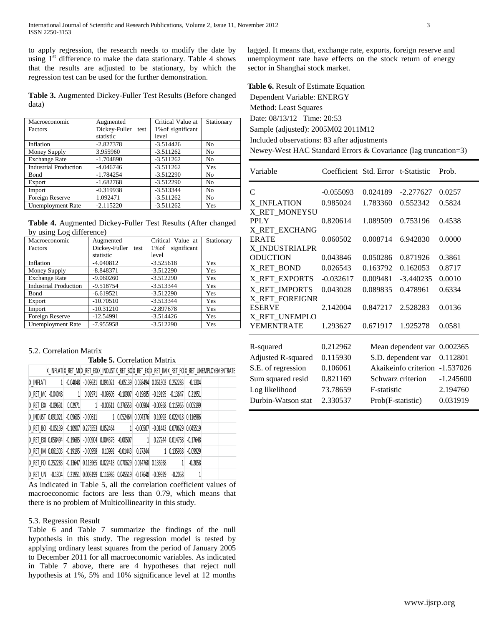to apply regression, the research needs to modify the date by using  $1<sup>st</sup>$  difference to make the data stationary. Table 4 shows that the results are adjusted to be stationary, by which the regression test can be used for the further demonstration.

**Table 3.** Augmented Dickey-Fuller Test Results (Before changed data)

| Macroeconomic                | Augmented             | Critical Value at | Stationary     |
|------------------------------|-----------------------|-------------------|----------------|
| <b>Factors</b>               | Dickey-Fuller<br>test | 1% of significant |                |
|                              | statistic             | level             |                |
| Inflation                    | $-2.827378$           | $-3.514426$       | N <sub>0</sub> |
| Money Supply                 | 3.955960              | $-3.511262$       | N <sub>0</sub> |
| <b>Exchange Rate</b>         | $-1.704890$           | $-3.511262$       | N <sub>0</sub> |
| <b>Industrial Production</b> | $-4.046746$           | $-3.511262$       | Yes            |
| Bond                         | $-1.784254$           | $-3.512290$       | N <sub>0</sub> |
| Export                       | $-1.682768$           | $-3.512290$       | N <sub>0</sub> |
| Import                       | $-0.319938$           | $-3.513344$       | N <sub>0</sub> |
| Foreign Reserve              | 1.092471              | $-3.511262$       | N <sub>0</sub> |
| <b>Unemployment Rate</b>     | $-2.115220$           | $-3.511262$       | Yes            |

**Table 4.** Augmented Dickey-Fuller Test Results (After changed by using Log difference)

| Macroeconomic                | Augmented             | Critical Value at    | Stationary |
|------------------------------|-----------------------|----------------------|------------|
| Factors                      | Dickey-Fuller<br>test | significant<br>1% of |            |
|                              | statistic             | level                |            |
| Inflation                    | $-4.040812$           | $-3.525618$          | Yes        |
| Money Supply                 | $-8.848371$           | $-3.512290$          | Yes        |
| <b>Exchange Rate</b>         | $-9.060260$           | $-3.512290$          | Yes        |
| <b>Industrial Production</b> | $-9.518754$           | $-3.513344$          | Yes        |
| Bond                         | $-6.619521$           | $-3.512290$          | Yes        |
| Export                       | $-10.70510$           | $-3.513344$          | Yes        |
| Import                       | $-10.31210$           | $-2.897678$          | Yes        |
| Foreign Reserve              | $-12.54991$           | $-3.514426$          | Yes        |
| <b>Unemployment Rate</b>     | $-7.955958$           | $-3.512290$          | Yes        |

# 5.2. Correlation Matrix

**Table 5.** Correlation Matrix

|  |  |  |  |  |  |  |  | IX INFLATIX RET MCX RET EXIX INDUSTIX RET BOX RET EXIX RET IMIX RET FOIX RET UNEMPLOYEMENTRATE |
|--|--|--|--|--|--|--|--|------------------------------------------------------------------------------------------------|
|  |  |  |  |  |  |  |  |                                                                                                |

| X RET M( -0.04048 1 0.02971 -0.09605 -0.10907 -0.19685 -0.19195 -0.13647 0.21951      |  |  |  |  |  |  |
|---------------------------------------------------------------------------------------|--|--|--|--|--|--|
| X RET EX -0.09631 0.02971 1 -0.00611 0.276553 -0.00904 -0.00958 0.115965 0.005199     |  |  |  |  |  |  |
| X INDUST 0.091021 -0.09605 -0.00611 1 0.052464 0.004376 0.10992 0.022418 0.116986     |  |  |  |  |  |  |
| X RET BO -0.05139 -0.10907 0.276553 0.052464 1 -0.00507 -0.01443 0.070629 0.045519    |  |  |  |  |  |  |
| X RET EX   0.058494 -0.19685 -0.00904 0.004376 -0.00507     0.27244 0.014768 -0.17648 |  |  |  |  |  |  |
| X RET IM 0.061303 -0.19195 -0.00958 0.10992 -0.01443 0.27244 1 0.135938 -0.09929      |  |  |  |  |  |  |
| X RET FO 0.252283 -0.13647 0.115965 0.022418 0.070629 0.014768 0.135938 1 -0.2058     |  |  |  |  |  |  |
| X RET UN -0.1304 0.21951 0.005199 0.116986 0.045519 -0.17648 -0.09929 -0.2058         |  |  |  |  |  |  |

As indicated in Table 5, all the correlation coefficient values of macroeconomic factors are less than 0.79, which means that there is no problem of Multicollinearity in this study.

#### 5.3. Regression Result

Table 6 and Table 7 summarize the findings of the null hypothesis in this study. The regression model is tested by applying ordinary least squares from the period of January 2005 to December 2011 for all macroeconomic variables. As indicated in Table 7 above, there are 4 hypotheses that reject null hypothesis at 1%, 5% and 10% significance level at 12 months lagged. It means that, exchange rate, exports, foreign reserve and unemployment rate have effects on the stock return of energy sector in Shanghai stock market.

**Table 6.** Result of Estimate Equation Dependent Variable: ENERGY Method: Least Squares Date: 08/13/12 Time: 20:53 Sample (adjusted): 2005M02 2011M12 Included observations: 83 after adjustments Newey-West HAC Standard Errors & Covariance (lag truncation=3)

| Variable           | Coefficient Std. Error t-Statistic |                      |                    | Prob.    |
|--------------------|------------------------------------|----------------------|--------------------|----------|
| $\mathcal{C}$      | $-0.055093$                        | 0.024189             | $-2.277627$        | 0.0257   |
| X INFLATION        | 0.985024                           | 1.783360             | 0.552342           | 0.5824   |
| X_RET_MONEYSU      |                                    |                      |                    |          |
| <b>PPLY</b>        | 0.820614                           | 1.089509             | 0.753196           | 0.4538   |
| X RET EXCHANG      |                                    |                      |                    |          |
| <b>ERATE</b>       | 0.060502                           | 0.008714             | 6.942830           | 0.0000   |
| X INDUSTRIALPR     |                                    |                      |                    |          |
| <b>ODUCTION</b>    | 0.043846                           | 0.050286             | 0.871926           | 0.3861   |
| X_RET_BOND         | 0.026543                           | 0.163792             | 0.162053           | 0.8717   |
| X RET EXPORTS      | $-0.032617$                        | 0.009481             | $-3.440235$        | 0.0010   |
| X_RET_IMPORTS      | 0.043028                           | 0.089835             | 0.478961           | 0.6334   |
| X RET FOREIGNR     |                                    |                      |                    |          |
| <b>ESERVE</b>      | 2.142004                           | 0.847217             | 2.528283           | 0.0136   |
| X_RET_UNEMPLO      |                                    |                      |                    |          |
| YEMENTRATE         | 1.293627                           | 0.671917             | 1.925278           | 0.0581   |
| R-squared          | 0.212962                           |                      | Mean dependent var | 0.002365 |
| Adjusted R-squared | 0.115930                           | S.D. dependent var   | 0.112801           |          |
| S.E. of regression | 0.106061                           | Akaikeinfo criterion | $-1.537026$        |          |
| Sum squared resid  | 0.821169                           | Schwarz criterion    | $-1.245600$        |          |
| Log likelihood     | 73.78659                           | F-statistic          | 2.194760           |          |
|                    |                                    |                      |                    |          |
| Durbin-Watson stat | 2.330537                           | Prob(F-statistic)    | 0.031919           |          |